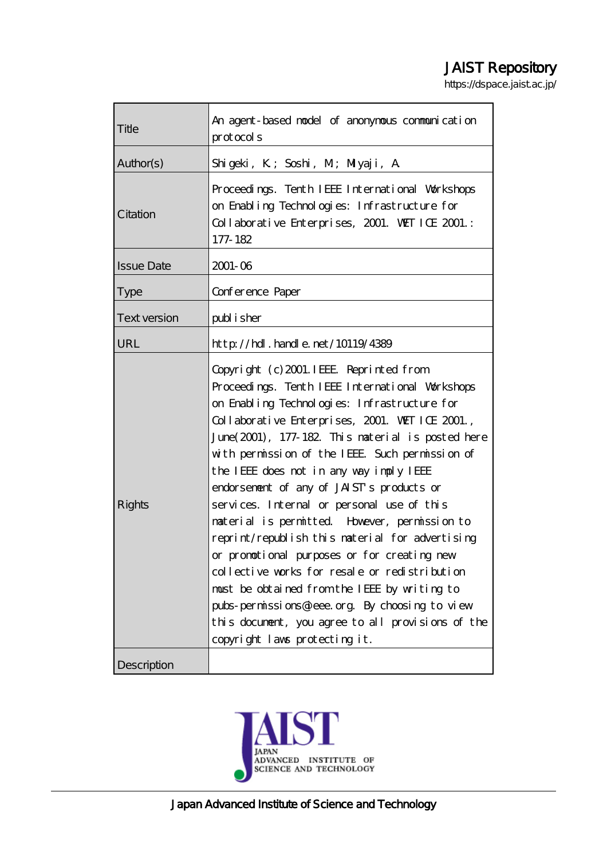# JAIST Repository

https://dspace.jaist.ac.jp/

| Title               | An agent-based model of anonymous communication<br>$prod \alpha$ cols                                                                                                                                                                                                                                                                                                                                                                                                                                                                                                                                                                                                                                                                                                                                                                 |  |  |
|---------------------|---------------------------------------------------------------------------------------------------------------------------------------------------------------------------------------------------------------------------------------------------------------------------------------------------------------------------------------------------------------------------------------------------------------------------------------------------------------------------------------------------------------------------------------------------------------------------------------------------------------------------------------------------------------------------------------------------------------------------------------------------------------------------------------------------------------------------------------|--|--|
| Author(s)           | Shigeki, K; Soshi, M; Miyaji, A                                                                                                                                                                                                                                                                                                                                                                                                                                                                                                                                                                                                                                                                                                                                                                                                       |  |  |
| Citation            | Proceedings. Tenth IEEE International Workshops<br>on Enabling Technologies: Infrastructure for<br>Collaborative Enterprises, 2001. WET ICE 2001.:<br>177-182                                                                                                                                                                                                                                                                                                                                                                                                                                                                                                                                                                                                                                                                         |  |  |
| <b>Issue Date</b>   | $2001 - 06$                                                                                                                                                                                                                                                                                                                                                                                                                                                                                                                                                                                                                                                                                                                                                                                                                           |  |  |
| <b>Type</b>         | Conference Paper                                                                                                                                                                                                                                                                                                                                                                                                                                                                                                                                                                                                                                                                                                                                                                                                                      |  |  |
| <b>Text version</b> | publisher                                                                                                                                                                                                                                                                                                                                                                                                                                                                                                                                                                                                                                                                                                                                                                                                                             |  |  |
| URL                 | http://hdl.handle.net/10119/4389                                                                                                                                                                                                                                                                                                                                                                                                                                                                                                                                                                                                                                                                                                                                                                                                      |  |  |
| Rights              | Copyright (c) 2001. IEEE Reprinted from<br>Proceedings. Tenth IEEE International Workshops<br>on Enabling Technologies: Infrastructure for<br>Collaborative Enterprises, 2001. WET ICE 2001.,<br>June (2001), 177-182. This material is posted here<br>with permission of the IEEE Such permission of<br>the IEEE does not in any way imply IEEE<br>endorsement of any of JAIST's products or<br>services. Internal or personal use of this<br>material is permitted However, permission to<br>reprint/republish this material for advertising<br>or promotional purposes or for creating new<br>collective works for resale or redistribution<br>must be obtained from the IEEE by writing to<br>pubs-permissions@ieee.org By choosing to view<br>this document, you agree to all provisions of the<br>copyright laws protecting it. |  |  |
| Description         |                                                                                                                                                                                                                                                                                                                                                                                                                                                                                                                                                                                                                                                                                                                                                                                                                                       |  |  |

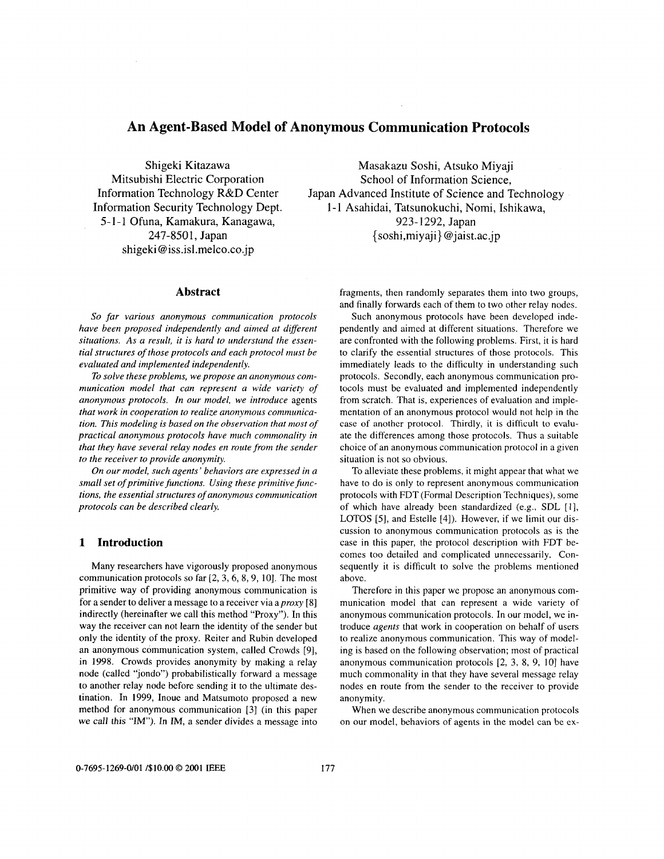# **An Agent-Based Model of Anonymous Communication Protocols**

Shigeki Kitazawa Mitsubishi Electric Corporation Information Technology R&D Center Information Security Technology Dept. 5- **1** - 1 Ofuna, Kamakura, Kanagawa, shigeki @ [iss.isl.melco.co.jp](http://iss.isl.melco.co.jp)

#### **Abstract**

*So far various anonymous communication protocols have been proposed independently and aimed at different situations. As a result, it is hard to understand the essen*tial structures of those protocols and each protocol must be *evaluated and implemented independently.* 

*To solve these problems, we propose an anonymous communication model that can represent a wide variety of anonymous protocols. In our model, we introduce* agents that work in cooperation to realize anonymous communica*tion. This modeling is based on the observation that most of practical anonymous protocols have much commonality in that they have several relay nodes en route from the sender to the receiver to provide anonymity.* 

*On our model, such agents' behaviors are expressed in a small set of primitive functions. Using these primitive functions, the essential structures of anonymous communication protocols can be described clearly.* 

## **1 Introduction**

Many researchers have vigorously proposed anonymous communication protocols so far [2, 3, 6, 8, 9, 10]. The most primitive way of providing anonymous communication is for a sender to deliver a message to a receiver via *aproxq,* [8] indirectly (hereinafter we call this method "Proxy"). In this way the receiver can not learn the identity of the sender but only the identity of the proxy. Reiter and Rubin developed an anonymous communication system, called Crowds [9], in 1998. Crowds provides anonymity by making a relay node (called "jondo") probabilistically forward a message to another relay node before sending it to the ultimate destination. In 1999, Inoue and Matsumoto proposed a new method for anonymous communication [3] (in this paper we call this "IM"). In IM, a sender divides a message into

Masakazu Soshi, Atsuko Miyaji School of Information Science, Japan Advanced Institute of Science and Technology 1-1 Asahidai, Tatsunokuchi, Nomi, Ishikawa, 923- 1292, Japan 247-8501, Japan { soshi,miyaji} [@jaist.ac.jp](mailto:jaist.ac.jp)

> fragments, then randomly separates them into two groups, and finally forwards each of them to two other relay nodes.

> Such anonymous protocols have been developed independently and aimed at different situations. Therefore we are confronted with the following problems. First, it is hard to clarify the essential structures of those protocols. This immediately leads to the difficulty in understanding such protocols. Secondly, each anonymous communication protocols must be evaluated and implemented independently from scratch. That is, experiences of evaluation and implementation of an anonymous protocol would not help in the case of another protocol. Thirdly, it is difficult to evaluate the differences among those protocols. Thus a suitable choice of an anonymous communication protocol in a given situation is not so obvious.

> To alleviate these problems, it might appear that what we have to do is only to represent anonymous communication protocols with FDT (Formal Description Techniques), some of which have already been standardized (e.g., SDL [I], LOTOS *[5],* and Estelle [4]). However, if we limit our discussion to anonymous communication protocols as is the case in this paper, the protocol description with FDT becomes too detailed and complicated unnecessarily. Consequently it is difficult to solve the problems mentioned above.

> Therefore in this paper we propose an anonymous communication model that can represent a wide variety of anonymous communication protocols. In our model, we introduce *agents* that work in cooperation on behalf of users to realize anonymous communication. This way of modeling is based on the following observation; most of practical anonymous communication protocols *[2,* **3,** 8, 9, IO] have much commonality in that they have several message relay nodes en route from the sender to the receiver to provide anonymity.

> When we describe anonymous communication protocols on our model, behaviors of agents in the model can be ex-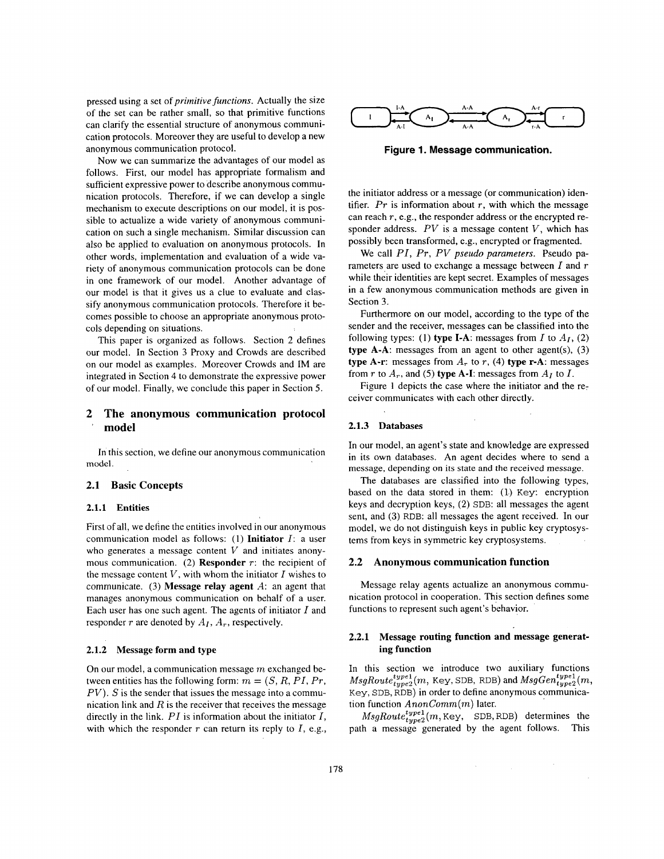pressed using a set of *primitive functions.* Actually the size of the set can be rather small, so that primitive functions can clarify the essential structure of anonymous communication protocols. Moreover they are useful to develop a new anonymous communication protocol.

Now we can summarize the advantages of our model as follows. First, our model has appropriate formalism and sufficient expressive power to describe anonymous communication protocols. Therefore, if we can develop a single mechanism to execute descriptions on our model, it is possible to actualize a wide variety of anonymous communication on such a single mechanism. Similar discussion can also be applied to evaluation on anonymous protocols. In other words, implementation and evaluation of a wide variety of anonymous communication protocols can be done in one framework of our model. Another advantage of our model is that it gives us a clue to evaluate and classify anonymous communication protocols. Therefore it becomes possible to choose an appropriate anonymous protocols depending on situations.

This paper is organized as follows. Section *2* defines our model. In Section *3* Proxy and Crowds are described on our model as examples. Moreover Crowds and IM are integrated in Section 4 to demonstrate the expressive power of our model. Finally, we conclude this paper in Section 5.

# **2 The anonymous communication protocol**  ' **model**

In this section, we define our anonymous communication model.

#### **2.1 Basic Concepts**

## **2.1.1 Entities**

First of all, we define the entities involved in our anonymous communication model as follows: (1) **Initiator** *I:* **a** user who generates a message content *V* and initiates anonymous communication. (2) **Responder** *r:* the recipient of the message content *V,* with whom the initiator *I* wishes to communicate. **(3) Message relay agent** *A:* an agent that manages anonymous communication on behalf of a user. Each user has one such agent. The agents of initiator *I* and responder  $r$  are denoted by  $A_I$ ,  $A_r$ , respectively.

## **2.1.2 Message form and type**

On our model, a communication message *m* exchanged between entities has the following form:  $m = (S, R, PI, Pr, q)$ *PV*). *S* is the sender that issues the message into a communication link and *R* is the receiver that receives the message directly in the link. *PI* is information about the initiator *I,*  with which the responder  $r$  can return its reply to  $I$ , e.g.,



**Figure 1. Message communication.** 

the initiator address or a message (or communication) identifier.  $Pr$  is information about  $r$ , with which the message can reach *T,* e.g., the responder address or the encrypted responder address. *PV* is a message content *v,* which has possibly been transformed, e.g., encrypted or fragmented.

We call *PI, PT, PV pseudo parameters.* Pseudo parameters-are used to exchange a message between *I* and *<sup>T</sup>* while their identities are kept secret. Examples of messages in a few anonymous communication methods are given in Section 3.

Furthermore on our model, according to the type of the sender and the receiver, messages can be classified into the following types: (1) **type I-A**: messages from *I* to  $A_I$ , (2) **type A-A:** messages from an agent to other agent(s), **(3) type A-r:** messages from  $A_r$  to  $r$ , (4) **type r-A**: messages from  $r$  to  $A_r$ , and (5) **type A-I**: messages from  $A_I$  to  $I$ .

Figure **1** depicts the case where the initiator and the receiver communicates with each other directly.

#### **2.1.3 Databases**

In our model, an agent's state and knowledge are expressed in its own databases. An agent decides where to send a **message,** depending on its **state** and **the** received **message.** 

The databases are classified into the following types, based on the data stored in them: (1) Key: encryption keys and decryption keys, **(2)** SDB: all messages the agent sent, and **(3)** RDB: all messages the agent received. In our model, we do not distinguish keys in public key cryptosystems from keys in symmetric key cryptosystems.

#### **2.2 Anonymous communication function**

Message relay agents actualize an anonymous communication protocol in cooperation. This section defines some functions to represent such agent's behavior.

## **2.2.1 Message routing function and message generating function**

In this section we introduce two auxiliary functions  $MsgRoute^{type1}_{type2}(m,$  Key, SDB, RDB) and  $MsgGen^{type1}_{type2}(m,$ Key, SDB, RDB) in order to define anonymous communication function *AnonComm(m)* later.

 $MsgRoutet_{type2}^{type1}(m, \text{Key}, \text{SDB}, \text{RDB})$  determines the path a message generated by the agent follows. This

 $\sim$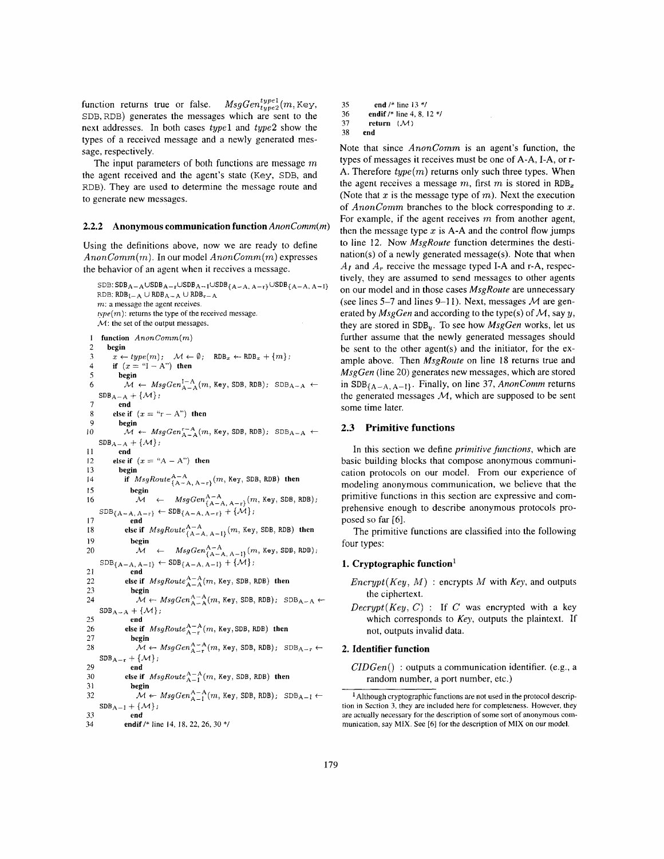function returns true or false.  $MsgGen^{type1}_{type2}(m, Key,$ SDB,RDB) generates the messages which are sent to the next addresses. In both cases *type1* and *type2* show the types of a received message and a newly generated message, respectively.

The input parameters of both functions are message *m*  the agent received and the agent's state **(Key,** SDB, and RDB). They are used to determine the message route and to generate new messages.

#### **2.2.2 Anonymous communication function** *AnonComm(m)*

Using the definitions above, now we are ready to define *AnonComm(m).* In our model *AnonComm(m)* expresses the behavior of an agent when it receives a message.

```
SDB: SDB_{A-A} \cup SDB_{A-r} \cup SDB_{A-1} \cup SDB_{\{A-A, A-r\}} \cup SDB_{\{A-A, A-1\}}RDB: RDB_{I-A} \cup RDB_{A-A} \cup RDB_{r-A}m: a message the agent receives. 
   type(m): returns the type of the received message.
   M: the set of the output messages.
1function AnonComm(m) 
2 begin<br>3 x \leftarrow3<br>
3 x \leftarrow type(m); \quad \mathcal{M} \leftarrow \emptyset; \quad RDB_x \leftarrow RDB_x + \{m\};<br>
4 if (x = "I - A") then
5 begin 
             M \leftarrow MsgGen_{A-A}^{1-A}(m, \text{Key}, \text{SDB}, \text{RDB}); \text{SDB}_{A-A} \leftarrow
```

```
7 end 
8 
9 begin 
IO 
II end 
12 else if (x = "A - A") then <br>13 begin
            13 begin 
14 
IS begin 
16 Mga M \leftarrow MsgGen_{\{A-A, A-r\}}^{A-A}(m, \text{Key}, \text{SDB}, \text{RDB});17 end 
18 
    SDB_{A-A} + \{\mathcal{M}\};else if (x = "r - A") then
             M \leftarrow MsgGen_{A-A}^{r-A}(m, \text{Key}, \text{SDB}, \text{RDB}); SDB_{A-A} \leftarrowSDB_{A-A} + \{\mathcal{M}\};if MsgRoute^{\text{A-A}}_{\{\text{A-A}, \text{A-r}\}}(m, \text{Key}, \text{SDB}, \text{RDB}) then
     SDB_{\{A-A,\,A-r\}} \leftarrow SDB_{\{A-A,\,A-r\}} + {\{\mathcal{M}\}};
              else if MsgRoute^{A-A}_{\{A-A, A-I\}}(m, \text{Key}, \text{SDB}, \text{RDB}) then
```

```
19 begin 
20 M \leftarrow \text{MsgGen}_{\{A-A, A-I\}}^{A-A}(m, \text{Key}, \text{SDB}, \text{RDB});
```

```
SDB_{\{A-A, A-I\}} \leftarrow SDB_{\{A-A, A-I\}} + \{\mathcal{M}\};21 end
```

```
else if MsgRouteA-A(m, Key, SDB, RDB) then
```

```
rac{22}{23}begin
24 
                         \mathcal{M} \leftarrow MsgGen_{A-A}^{A-A}(m, \text{Key}, \text{SDB}, \text{RDB}); \text{SDB}_{A-A} \leftarrowSDB_{A-A} + \{\mathcal{M}\};
```

```
29 end
```

```
26 
            else if MsgRoute_{A-r}^{A-A}(m, Key, SDB, RDB) then
```

```
27 begin 
28 
                     M \leftarrow MsgGen^{A-A}_{A-r}(m, \text{Key}, \text{SDB}, \text{RDB}); \text{SDB}_{A-r} \leftarrowSDB_{A-r} + \{\mathcal{M}\};
```

```
29 end 
               else if MsgRoute^{\text{A-A}}_{\text{A-I}}(m, \text{Key}, \text{SDB}, \text{RDB}) then
```

```
30<br>31
                           31 begin
```
6

```
32 
                    M \leftarrow MsgGen_{A-I}^{A-A}(m, \text{Key}, \text{SDB}, \text{RDB}); \text{SDB}_{A-I} \leftarrow + \{M\};SDB_{A-I}
```

```
33 end
```
34 **endif** /\* line 14, 18, 22, 26, 30 \*/

- **3s end** /\* line 13 \*/
- **36 endif** /\* line 4, 8, 12 \*/

```
37 return (M)
```
38 **end** 

Note that since *AnonComm* is an agent's function, the types of messages it receives must be one of A-A, I-A, or r-A. Therefore *type(m)* returns only such three types. When the agent receives a message  $m$ , first  $m$  is stored in RDB<sub>x</sub> (Note that  $x$  is the message type of  $m$ ). Next the execution of *AnonComm* branches to the block corresponding to *x.*  For example, if the agent receives *m* from another agent, then the message type  $x$  is A-A and the control flow jumps to line 12. Now *MsgRoute* function determines the destination(s) of a newly generated message(s). Note that when  $A_I$  and  $A_r$  receive the message typed I-A and r-A, respectively, they are assumed to send messages to other agents on our model and in those cases *MsgRoute* are unnecessary (see lines 5–7 and lines 9–11). Next, messages  $M$  are generated by *MsgCen* and according to the type(s) of *M,* say y, they are stored in SDB,. To see how *MsgCen* works, let us further assume that the newly generated messages should be sent to the other agent(s) and the initiator, for the example above. Then *MsgRoute* on line 18 returns true and *MsgCen* (line 20) generates new messages, which are stored in  $SDB_{\{A-A, A-I\}}$ . Finally, on line 37, *AnonComm* returns the generated messages  $M$ , which are supposed to be sent some time later.

#### **2.3 Primitive functions**

In this section we define *primitive functions,* which are basic building blocks that compose anonymous communication protocols on our model. From our experience of modeling anonymous communication, we believe that the primitive functions in this section are expressive and comprehensive enough to describe anonymous protocols proposed so far *[6].* 

The primitive functions are classified into the following four types:

#### **1. Cryptographic function'**

- *Encrypt(Key, M)* : encrypts *M* with *Key,* and outputs the ciphertext.
- $Decrypt(Key, C)$ : If *C* was encrypted with a key which corresponds to *Key,* outputs the plaintext. If not, outputs invalid data.

## **2. Identifier function**

*CIDGen()* : outputs a communication identifier. (e.g., a random number, a port number, etc.)

Although cryptographic functions *xe* not used in the protocol description in Section **3,** they are included here for completeness. However, they are actually necessary for the description **of** some sort of anonymous communication, say MIX. See [6] for the description of MIX on our model.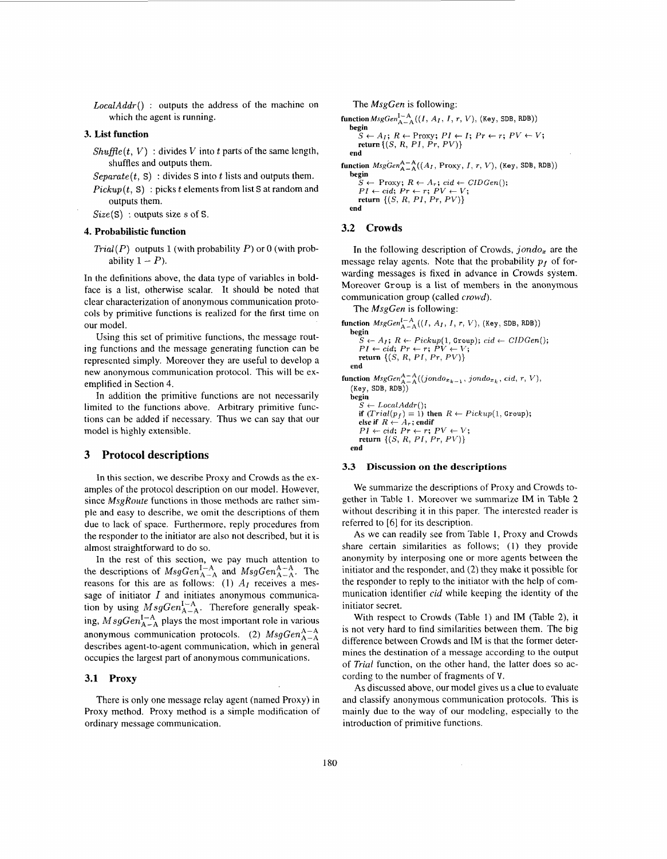$LocalAdar()$  : outputs the address of the machine on which the agent is running.

#### **3. List function**

 $Shufflet, V)$ : divides *V* into *t* parts of the same length, shuffles and outputs them.

 $Separate(t, S)$ : divides *S* into *t* lists and outputs them.

 $Pickup(t, S)$ : picks *t* elements from list S at random and outputs them.

*Size(S)* : outputs size s of S.

#### **4. Probabilistic function**

*Trial(P)* outputs 1 (with probability *P)* or 0 (with probability  $1 - P$ ).

In the definitions above, the data type of variables in boldface is a list, otherwise scalar. It should be noted that clear characterization of anonymous communication protocols by primitive functions is realized for the first time on our model.

Using this set of primitive functions, the message routing functions and the message generating function can be represented simply. Moreover they are useful to develop a new anonymous communication protocol. This will be exemplified in Section 4.

In addition the primitive functions are not necessarily limited to the functions above. Arbitrary primitive functions can be added if necessary. Thus we can say that our model is highly extensible.

## **3 Protocol descriptions**

In this section, we describe Proxy and Crowds as the examples of the protocol description on our model. However, since *MsgRoute* functions in those methods are rather simple and easy to describe, we omit the descriptions of them due to **lack** of space. Furthermore, reply procedures from the responder to the initiator are also not described, but it is almost straightforward to do so.

In the rest of this section, we pay much attention to the descriptions of  $MsgGen_{A-A}^{1-A}$  and  $MsgGen_{A-A}^{A-A}$ . The reasons for this are as follows: (1)  $A_I$  receives a message of initiator *I* and initiates anonymous communication by using  $MsgGen_{A-A}^{I-A}$ . Therefore generally speaking,  $MsgGen<sub>A-A</sub><sup>I-A</sup>$  plays the most important role in various anonymous communication protocols. (2)  $MsgGen_{A-A}^{A-A}$ describes agent-to-agent communication, which in general occupies the largest part of anonymous communications.

#### **3.1 Proxy**

There is only one message relay agent (named Proxy) in Proxy method. Proxy method is a simple modification of ordinary message communication.

The *MsgGen* is following:

```
{\bf function} MsgGen_{A-A}^{I-A}((I, A_I, I, r, V), (Key, SDB, RDB))
    begin 
         S \leftarrow A_I; R \leftarrow Proxy; P I \leftarrow I; Pr \leftarrow r; PV \leftarrow V;<br>
return {(S, R, PI, Pr, PV)}
    end
```
**begin**   ${\bf function}$   $MsgGen_{A-A}^{A-A}((A_I, \text{Proxy}, I, r, V), (\text{Key}, \text{SDB}, \text{RDB}))$ 

 $S \leftarrow \text{Proxy}; R \leftarrow A_r; \text{ } cd \leftarrow \text{CIDGen}(:,r)$ <br>  $PI \leftarrow \text{ } cd; Pr \leftarrow r; PV \leftarrow V;$ **return** *{(S, R,* **PI,** *PT, PV)}*  **end** 

## **3.2 Crowds**

In the following description of Crowds, *jondo,* are the message relay agents. Note that the probability  $p_f$  of forwarding messages is fixed in advance in Crowds system. Moreover Group is a list of members in the anonymous communication group (called *crowd).* 

The *MsgGen* is following:

function  $MsgGen_{A-A}^{I-A}((I, A_I, I, r, V), (Key, SDB, RDB))$ **begin**  g.<br>  $S \leftarrow A_I; R \leftarrow Pickup(1, Group); cid \leftarrow CIDGen();$ <br>  $PI \leftarrow cid; Pr \leftarrow r; PV \leftarrow V;$ <br> **return**  $\{(S, R, PI, Pr, PV)\}$ **end**   $function$   $MsgGen^{A-A}_{A-A}((jondo_{x_{k-1}}, jondo_{x_k}, cd, r, V),$ (Key, SDB, RDB)) **begin**   $S \leftarrow LocalAddr();$ <br>
if  $(Trial(p_f) = 1)$  then  $R \leftarrow Pickup(1, Group);$ <br>
else if  $R \leftarrow A_r$ ; endif<br>  $PI \leftarrow cid; Pr \leftarrow r; PV \leftarrow V;$ <br>  $PI \leftarrow id; Pr \leftarrow r; PV \leftarrow V;$ **return** *{(S, R, PI, PT,* PV)} **end** 

#### **3.3 Discussion on the descriptions**

We summarize the descriptions of Proxy and Crowds together in [Table](#page-5-0) **1.** Moreover we summarize **IM** in [Table 2](#page-5-0) without describing it in this paper. The interested reader is referred to [6] for its description.

**As** we can readily see from Table 1, Proxy and Crowds share certain similarities as follows; (1) they provide anonymity by interposing one or more agents between the initiator and the responder, and (2) they make it possible for the responder to reply to the initiator with the help of communication identifier *cid* while keeping the identity of the initiator secret.

With respect to Crowds (Table 1) and IM (Table 2), it is not very hard to find similarities between them. The big difference between Crowds and IM is that the former determines the destination of a message according to the output of *Trial* function, on the other hand, the latter does so according to the number of fragments of V.

**As** discussed above, our model gives us a clue to evaluate and classify anonymous communication protocols. This is mainly due to the way of our modeling, especially to the introduction of primitive functions.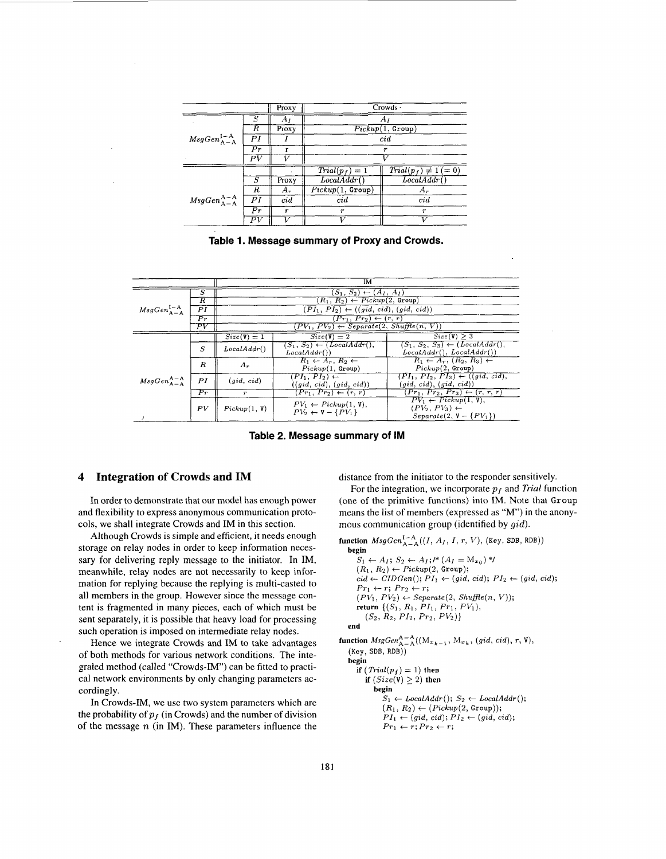<span id="page-5-0"></span>

|                                    |                          | Proxy      | Crowds ·         |                           |
|------------------------------------|--------------------------|------------|------------------|---------------------------|
| $MsgGenA-AI-A$                     | S                        | Αı         | Αı               |                           |
|                                    | R                        | Proxy      | Pickup(1, Group) |                           |
|                                    | PI                       |            | cid              |                           |
|                                    | $_{Pr}$                  |            | r                |                           |
|                                    | ΡV                       |            |                  |                           |
|                                    |                          |            | $Trial(p_f) = 1$ | $Trial(p_f) \neq 1 (= 0)$ |
| $MsgGen^{\text{A-A}}_{\text{A-A}}$ | $\overline{S}$           | Proxy      | LocalAddr        | LocalAddr                 |
|                                    | $\overline{\mathcal{R}}$ | $A_{\tau}$ | Pickup(1, Group) | $A_r$                     |
|                                    | PI                       | cid        | cid              | cid                       |
|                                    | $\overline{Pr}$          | r          | r                | $\boldsymbol{r}$          |
|                                    | $\overline{P}V$          |            |                  |                           |

**Table 1. Message summary of Proxy and Crowds.** 

|                              |                           |                                                     | IM                                                                |                                                                                                      |  |  |  |  |
|------------------------------|---------------------------|-----------------------------------------------------|-------------------------------------------------------------------|------------------------------------------------------------------------------------------------------|--|--|--|--|
|                              | Ŝ                         | $(S_1, S_2) \leftarrow (A_I, A_I)$                  |                                                                   |                                                                                                      |  |  |  |  |
|                              | $_{\scriptscriptstyle R}$ | $R_1, R_2 \rightarrow Pickup(2, Group)$             |                                                                   |                                                                                                      |  |  |  |  |
| $MsgGenA-AI-A$               | $_{PI}$                   | $(PI_1, PI_2) \leftarrow ((gid, cid), (gid, cid))$  |                                                                   |                                                                                                      |  |  |  |  |
|                              | $_{Pr}$                   | $Pr_1, Pr_2) \leftarrow (r, r)$                     |                                                                   |                                                                                                      |  |  |  |  |
|                              | ΡV                        | $PV_1, PV_2) \leftarrow Separate(2, Shuffle(n, V))$ |                                                                   |                                                                                                      |  |  |  |  |
|                              |                           | $Size(V) = 1$                                       | $Size(V) = 2$                                                     | Size(V) > 3                                                                                          |  |  |  |  |
|                              | $\boldsymbol{S}$          | LocalAddr()                                         | $(S_1, S_2) \leftarrow (LocalAddr(),$<br>LocalAddr()              | $(S_1, S_2, S_3) \leftarrow (LocalAddr(),$<br>LocalAddr(), LocalAddr())                              |  |  |  |  |
| $MsgGen^{\bf A-A}_{\bf A-A}$ | $\boldsymbol{R}$          | $A_r$                                               | $R_1 \leftarrow A_r, R_2 \leftarrow$<br>Pickup(1, Group)          | $R_1 \leftarrow A_r, (R_2, R_3) \leftarrow$<br>Pickup(2, Group)                                      |  |  |  |  |
|                              | PI                        | (gid, cid)                                          | $(PI_1, PI_2) \leftarrow$<br>((gid, cid), (gid, cid))             | $(PI_1, PI_2, PI_3) \leftarrow ((gid, cid),$<br>$(\text{gid}, \text{cid}), (\text{gid}, \text{cid})$ |  |  |  |  |
|                              | $_{Pr}$                   | $\boldsymbol{r}$                                    | $(Pr_1, Pr_2) \leftarrow (r, r)$                                  | $Pr_1, Pr_2, Pr_3) \leftarrow (r, r, r)$                                                             |  |  |  |  |
|                              | PV                        | Pickup(1, V)                                        | $PV_1 \leftarrow Pickup(1, V),$<br>$PV_2 \leftarrow V - \{PV_1\}$ | $PV_1 \leftarrow Pickup(1, V),$<br>$(PV_2, PV_3) \leftarrow$<br>$Separate(2, V - {PV1})$             |  |  |  |  |

**Table 2. Message summary of IM** 

# **4 Integration of Crowds and IM**

In order to demonstrate that our model has enough power and flexibility to express anonymous communication protocols, we shall integrate Crowds and IM in this section.

Although Crowds is simple and efficient, it needs enough storage on relay nodes in order to keep information necessary for delivering reply message to the initiator. In IM, meanwhile, relay nodes are not necessarily to keep information for replying because the replying is multi-casted to all members in the group. However since the message content is fragmented in many pieces, each of which must be sent separately, it is possible that heavy load for processing such operation is imposed on intermediate relay nodes.

Hence we integrate Crowds and IM to take advantages of both methods for various network conditions. The integrated method (called "Crowds-IM") can be fitted to practical network environments by only changing parameters accordingly.

In Crowds-IM, we use two system parameters which are the probability of  $p_f$  (in Crowds) and the number of division of the message *n* (in IM). These parameters influence the distance from the initiator to the responder sensitively.

For the integration, we incorporate  $p_f$  and *Trial* function (one of the primitive functions) into IM. Note that **Group**  means the list of members (expressed as "M") in the anonymous communication group (identified by *gid).* 

```
function MsgGen_{A-A}^{I-A}((I, A_I, I, r, V), (Key, SDB, RDB))begin 
      S_1 \leftarrow A_I; S_2 \leftarrow A_I; P^*(A_I = M_{x_0})^*(R_1, R_2) \leftarrow Pickup(2, Group);\overline{cid \leftarrow CIDGen(); P_{I1} \leftarrow (gid, \, \overline{cid}); P_{I2} \leftarrow (gid, \, \overline{cid});}Pr_1 \leftarrow r; Pr_2 \leftarrow r;
      (PV_1, PV_2) \leftarrow Separate(2, Shuffle(n, V));return \{(S_1, R_1, PI_1, Pr_1, PV_1)\}(S_2, R_2, PI_2, Pr_2, PV_2)
```

```
end
```
function  $MsgGen^{\text{A}-\text{A}}_{\text{A}-\text{A}}((\text{M}_{x_{k-1}}, \text{M}_{x_k}, (gid, cid), r, V),$ (Key, SDB, RDB)) **begin if**  $(Trial(p_f) = 1)$  **then if**  $\left( Size(\mathbf{V}) \geq 2 \right)$  then **begin** 

 $S_1 \leftarrow LocalAddr(); S_2 \leftarrow LocalAddr();$  $(R_1, R_2) \leftarrow (Pickup(2, Group));$  $Pr_1 \leftarrow r; Pr_2 \leftarrow r;$  $PI_1 \leftarrow (gid, \, cid); \, PI_2 \leftarrow (gid, \, cid);$